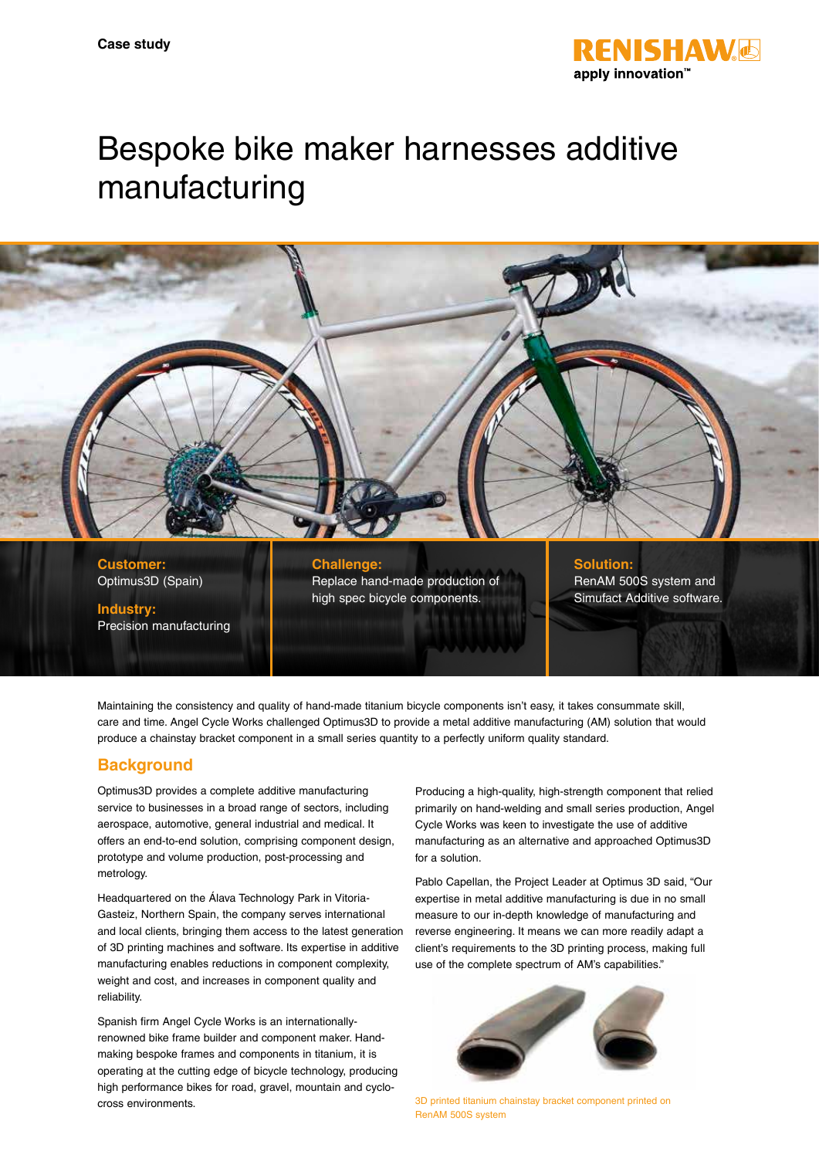

# Bespoke bike maker harnesses additive manufacturing



**Customer:** Optimus3D (Spain)

Precision manufacturing

**Industry:**

**Challenge:** Replace hand-made production of high spec bicycle components.

**Solution:** RenAM 500S system and

Simufact Additive software.

Maintaining the consistency and quality of hand-made titanium bicycle components isn't easy, it takes consummate skill, care and time. Angel Cycle Works challenged Optimus3D to provide a metal additive manufacturing (AM) solution that would produce a chainstay bracket component in a small series quantity to a perfectly uniform quality standard.

# **Background**

Optimus3D provides a complete additive manufacturing service to businesses in a broad range of sectors, including aerospace, automotive, general industrial and medical. It offers an end-to-end solution, comprising component design, prototype and volume production, post-processing and metrology.

Headquartered on the Álava Technology Park in Vitoria-Gasteiz, Northern Spain, the company serves international and local clients, bringing them access to the latest generation of 3D printing machines and software. Its expertise in additive manufacturing enables reductions in component complexity, weight and cost, and increases in component quality and reliability.

Spanish firm Angel Cycle Works is an internationallyrenowned bike frame builder and component maker. Handmaking bespoke frames and components in titanium, it is operating at the cutting edge of bicycle technology, producing high performance bikes for road, gravel, mountain and cyclocross environments. 3D printed titanium chainstay bracket component printed on

Producing a high-quality, high-strength component that relied primarily on hand-welding and small series production, Angel Cycle Works was keen to investigate the use of additive manufacturing as an alternative and approached Optimus3D for a solution.

Pablo Capellan, the Project Leader at Optimus 3D said, "Our expertise in metal additive manufacturing is due in no small measure to our in-depth knowledge of manufacturing and reverse engineering. It means we can more readily adapt a client's requirements to the 3D printing process, making full use of the complete spectrum of AM's capabilities."



RenAM 500S system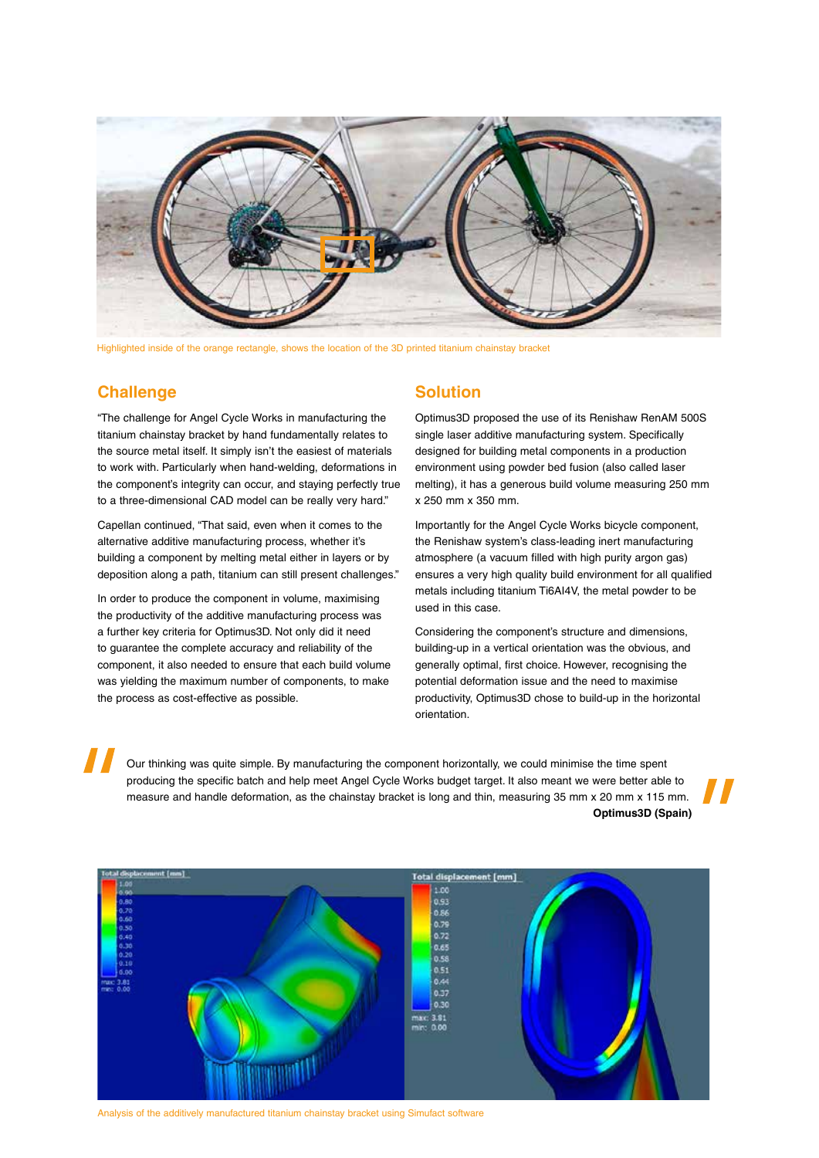

Highlighted inside of the orange rectangle, shows the location of the 3D printed titanium chainstay bracket

## **Challenge**

"The challenge for Angel Cycle Works in manufacturing the titanium chainstay bracket by hand fundamentally relates to the source metal itself. It simply isn't the easiest of materials to work with. Particularly when hand-welding, deformations in the component's integrity can occur, and staying perfectly true to a three-dimensional CAD model can be really very hard."

Capellan continued, "That said, even when it comes to the alternative additive manufacturing process, whether it's building a component by melting metal either in layers or by deposition along a path, titanium can still present challenges."

In order to produce the component in volume, maximising the productivity of the additive manufacturing process was a further key criteria for Optimus3D. Not only did it need to guarantee the complete accuracy and reliability of the component, it also needed to ensure that each build volume was yielding the maximum number of components, to make the process as cost-effective as possible.

### **Solution**

Optimus3D proposed the use of its Renishaw RenAM 500S single laser additive manufacturing system. Specifically designed for building metal components in a production environment using powder bed fusion (also called laser melting), it has a generous build volume measuring 250 mm x 250 mm x 350 mm.

Importantly for the Angel Cycle Works bicycle component, the Renishaw system's class-leading inert manufacturing atmosphere (a vacuum filled with high purity argon gas) ensures a very high quality build environment for all qualified metals including titanium Ti6AI4V, the metal powder to be used in this case.

Considering the component's structure and dimensions, building-up in a vertical orientation was the obvious, and generally optimal, first choice. However, recognising the potential deformation issue and the need to maximise productivity, Optimus3D chose to build-up in the horizontal orientation.

Our thinking was quite simple. By manufacturing the component horizontally, we could minimise the time spent producing the specific batch and help meet Angel Cycle Works budget target. It also meant we were better able to measure and handle deformation, as the chainstay bracket is long and thin, measuring 35 mm x 20 mm x 115 mm. **Optimus3D (Spain)**



Analysis of the additively manufactured titanium chainstay bracket using Simufact software